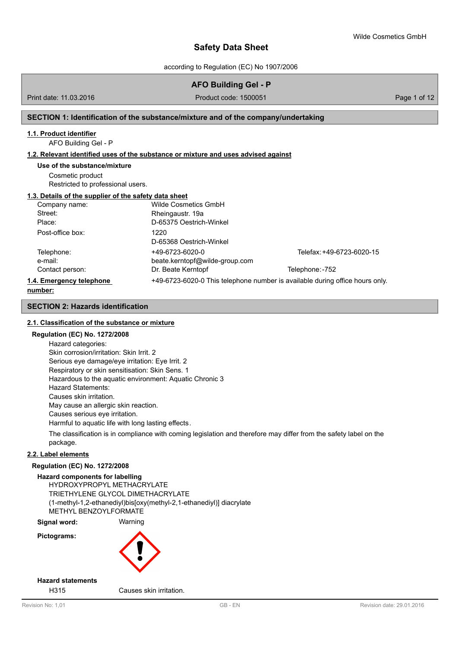according to Regulation (EC) No 1907/2006

# **AFO Building Gel - P**

Print date: 11.03.2016 **Product code: 1500051** Product code: 1500051 Page 1 of 12

### **SECTION 1: Identification of the substance/mixture and of the company/undertaking**

#### **1.1. Product identifier**

AFO Building Gel - P

#### **1.2. Relevant identified uses of the substance or mixture and uses advised against**

#### **Use of the substance/mixture**

Cosmetic product Restricted to professional users.

#### **1.3. Details of the supplier of the safety data sheet**

| Company name:            | Wilde Cosmetics GmbH           |                                                                              |
|--------------------------|--------------------------------|------------------------------------------------------------------------------|
| Street:                  | Rheingaustr. 19a               |                                                                              |
| Place:                   | D-65375 Oestrich-Winkel        |                                                                              |
| Post-office box:         | 1220                           |                                                                              |
|                          | D-65368 Oestrich-Winkel        |                                                                              |
| Telephone:               | +49-6723-6020-0                | Telefax: +49-6723-6020-15                                                    |
| e-mail:                  | beate.kerntopf@wilde-group.com |                                                                              |
| Contact person:          | Dr. Beate Kerntopf             | Telephone: -752                                                              |
| 1.4. Emergency telephone |                                | +49-6723-6020-0 This telephone number is available during office hours only. |
|                          |                                |                                                                              |

#### **number:**

### **SECTION 2: Hazards identification**

## **2.1. Classification of the substance or mixture**

#### **Regulation (EC) No. 1272/2008**

Hazard categories: Skin corrosion/irritation: Skin Irrit. 2 Serious eye damage/eye irritation: Eye Irrit. 2 Respiratory or skin sensitisation: Skin Sens. 1 Hazardous to the aquatic environment: Aquatic Chronic 3 Hazard Statements: Causes skin irritation. May cause an allergic skin reaction. Causes serious eye irritation. Harmful to aquatic life with long lasting effects.

The classification is in compliance with coming legislation and therefore may differ from the safety label on the package.

### **2.2. Label elements**

#### **Regulation (EC) No. 1272/2008**

#### **Hazard components for labelling**

HYDROXYPROPYL METHACRYLATE TRIETHYLENE GLYCOL DIMETHACRYLATE (1-methyl-1,2-ethanediyl)bis[oxy(methyl-2,1-ethanediyl)] diacrylate METHYL BENZOYLFORMATE

**Signal word:** Warning

**Pictograms:**



# **Hazard statements**

H315 Causes skin irritation.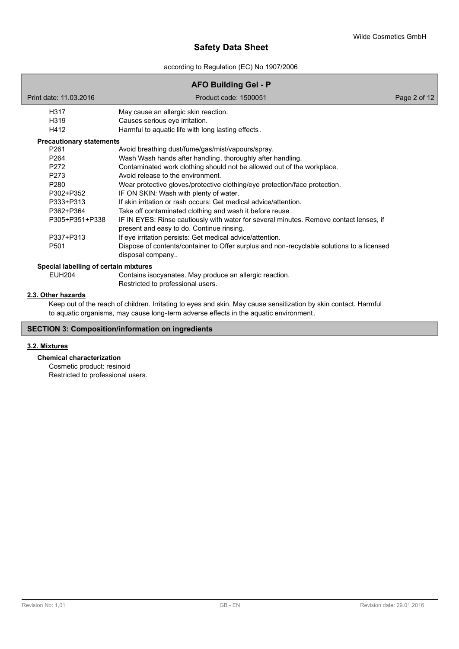according to Regulation (EC) No 1907/2006

# **AFO Building Gel - P**

Print date: 11.03.2016 Product code: 1500051 Page 2 of 12 H317 May cause an allergic skin reaction.<br>H319 Causes serious eve irritation. H319 Causes serious eye irritation.<br>H412 Harmful to aquatic life with loc Harmful to aquatic life with long lasting effects. P261 Avoid breathing dust/fume/gas/mist/vapours/spray. P264 Wash Wash hands after handling. thoroughly after handling. P272 Contaminated work clothing should not be allowed out of the workplace. P273 Avoid release to the environment. P280 Wear protective gloves/protective clothing/eye protection/face protection. P302+P352 IF ON SKIN: Wash with plenty of water. P333+P313 If skin irritation or rash occurs: Get medical advice/attention. P362+P364 Take off contaminated clothing and wash it before reuse. P305+P351+P338 IF IN EYES: Rinse cautiously with water for several minutes. Remove contact lenses, if present and easy to do. Continue rinsing. P337+P313 If eye irritation persists: Get medical advice/attention. P501 Dispose of contents/container to Offer surplus and non-recyclable solutions to a licensed disposal company.. **Precautionary statements** EUH204 Contains isocyanates. May produce an allergic reaction. Restricted to professional users. **Special labelling of certain mixtures** Keep out of the reach of children. Irritating to eyes and skin. May cause sensitization by skin contact. Harmful to aquatic organisms, may cause long-term adverse effects in the aquatic environment. **2.3. Other hazards**

# **SECTION 3: Composition/information on ingredients**

### **3.2. Mixtures**

### **Chemical characterization**

Cosmetic product: resinoid Restricted to professional users.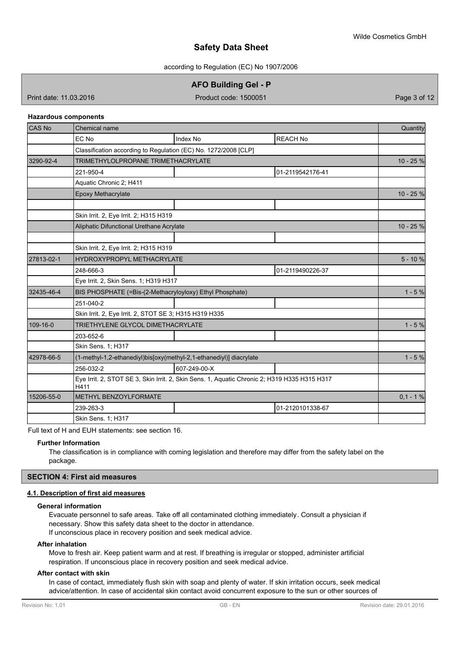according to Regulation (EC) No 1907/2006

**AFO Building Gel - P**

Print date: 11.03.2016 **Product code: 1500051** Product code: 1500051

#### **Hazardous components**

| CAS No     | Chemical name                                                                                        |              |                  |            |  |
|------------|------------------------------------------------------------------------------------------------------|--------------|------------------|------------|--|
|            | EC No                                                                                                | Index No     | <b>REACH No</b>  |            |  |
|            | Classification according to Regulation (EC) No. 1272/2008 [CLP]                                      |              |                  |            |  |
| 3290-92-4  | TRIMETHYLOLPROPANE TRIMETHACRYLATE                                                                   |              |                  |            |  |
|            | 221-950-4                                                                                            |              | 01-2119542176-41 |            |  |
|            | Aquatic Chronic 2; H411                                                                              |              |                  |            |  |
|            | Epoxy Methacrylate                                                                                   |              |                  | 10 - 25 %  |  |
|            |                                                                                                      |              |                  |            |  |
|            | Skin Irrit. 2, Eye Irrit. 2; H315 H319                                                               |              |                  |            |  |
|            | Aliphatic Difunctional Urethane Acrylate                                                             |              |                  | 10 - 25 %  |  |
|            |                                                                                                      |              |                  |            |  |
|            | Skin Irrit. 2, Eye Irrit. 2; H315 H319                                                               |              |                  |            |  |
| 27813-02-1 | HYDROXYPROPYL METHACRYLATE                                                                           |              |                  | $5 - 10%$  |  |
|            | 248-666-3                                                                                            |              | 01-2119490226-37 |            |  |
|            | Eye Irrit. 2, Skin Sens. 1; H319 H317                                                                |              |                  |            |  |
| 32435-46-4 | BIS PHOSPHATE (=Bis-(2-Methacryloyloxy) Ethyl Phosphate)                                             |              |                  |            |  |
|            | 251-040-2                                                                                            |              |                  |            |  |
|            | Skin Irrit. 2, Eye Irrit. 2, STOT SE 3; H315 H319 H335                                               |              |                  |            |  |
| 109-16-0   | TRIETHYLENE GLYCOL DIMETHACRYLATE                                                                    |              |                  | $1 - 5%$   |  |
|            | 203-652-6                                                                                            |              |                  |            |  |
|            | Skin Sens. 1; H317                                                                                   |              |                  |            |  |
| 42978-66-5 | (1-methyl-1,2-ethanediyl)bis[oxy(methyl-2,1-ethanediyl)] diacrylate                                  |              |                  |            |  |
|            | 256-032-2                                                                                            | 607-249-00-X |                  |            |  |
|            | Eye Irrit. 2, STOT SE 3, Skin Irrit. 2, Skin Sens. 1, Aquatic Chronic 2; H319 H335 H315 H317<br>H411 |              |                  |            |  |
| 15206-55-0 | METHYL BENZOYLFORMATE                                                                                |              |                  | $0,1 - 1%$ |  |
|            | 239-263-3                                                                                            |              | 01-2120101338-67 |            |  |
|            | Skin Sens. 1; H317                                                                                   |              |                  |            |  |

Full text of H and EUH statements: see section 16.

#### **Further Information**

The classification is in compliance with coming legislation and therefore may differ from the safety label on the package.

### **SECTION 4: First aid measures**

#### **4.1. Description of first aid measures**

#### **General information**

Evacuate personnel to safe areas. Take off all contaminated clothing immediately. Consult a physician if necessary. Show this safety data sheet to the doctor in attendance. If unconscious place in recovery position and seek medical advice.

### **After inhalation**

Move to fresh air. Keep patient warm and at rest. If breathing is irregular or stopped, administer artificial respiration. If unconscious place in recovery position and seek medical advice.

# **After contact with skin**

In case of contact, immediately flush skin with soap and plenty of water. If skin irritation occurs, seek medical advice/attention. In case of accidental skin contact avoid concurrent exposure to the sun or other sources of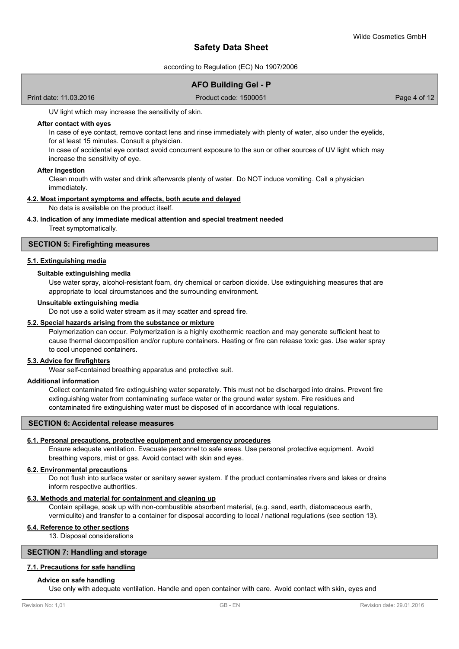according to Regulation (EC) No 1907/2006

# **AFO Building Gel - P**

Print date: 11.03.2016 Product code: 1500051 Page 4 of 12

UV light which may increase the sensitivity of skin.

#### **After contact with eyes**

In case of eye contact, remove contact lens and rinse immediately with plenty of water, also under the eyelids, for at least 15 minutes. Consult a physician.

In case of accidental eye contact avoid concurrent exposure to the sun or other sources of UV light which may increase the sensitivity of eye.

#### **After ingestion**

Clean mouth with water and drink afterwards plenty of water. Do NOT induce vomiting. Call a physician immediately.

#### **4.2. Most important symptoms and effects, both acute and delayed**

No data is available on the product itself.

#### **4.3. Indication of any immediate medical attention and special treatment needed**

Treat symptomatically.

#### **SECTION 5: Firefighting measures**

#### **5.1. Extinguishing media**

#### **Suitable extinguishing media**

Use water spray, alcohol-resistant foam, dry chemical or carbon dioxide. Use extinguishing measures that are appropriate to local circumstances and the surrounding environment.

#### **Unsuitable extinguishing media**

Do not use a solid water stream as it may scatter and spread fire.

### **5.2. Special hazards arising from the substance or mixture**

Polymerization can occur. Polymerization is a highly exothermic reaction and may generate sufficient heat to cause thermal decomposition and/or rupture containers. Heating or fire can release toxic gas. Use water spray to cool unopened containers.

#### **5.3. Advice for firefighters**

Wear self-contained breathing apparatus and protective suit.

#### **Additional information**

Collect contaminated fire extinguishing water separately. This must not be discharged into drains. Prevent fire extinguishing water from contaminating surface water or the ground water system. Fire residues and contaminated fire extinguishing water must be disposed of in accordance with local regulations.

#### **SECTION 6: Accidental release measures**

#### **6.1. Personal precautions, protective equipment and emergency procedures**

Ensure adequate ventilation. Evacuate personnel to safe areas. Use personal protective equipment. Avoid breathing vapors, mist or gas. Avoid contact with skin and eyes.

#### **6.2. Environmental precautions**

Do not flush into surface water or sanitary sewer system. If the product contaminates rivers and lakes or drains inform respective authorities.

# **6.3. Methods and material for containment and cleaning up**

Contain spillage, soak up with non-combustible absorbent material, (e.g. sand, earth, diatomaceous earth, vermiculite) and transfer to a container for disposal according to local / national regulations (see section 13).

### **6.4. Reference to other sections**

13. Disposal considerations

#### **SECTION 7: Handling and storage**

#### **7.1. Precautions for safe handling**

#### **Advice on safe handling**

Use only with adequate ventilation. Handle and open container with care. Avoid contact with skin, eyes and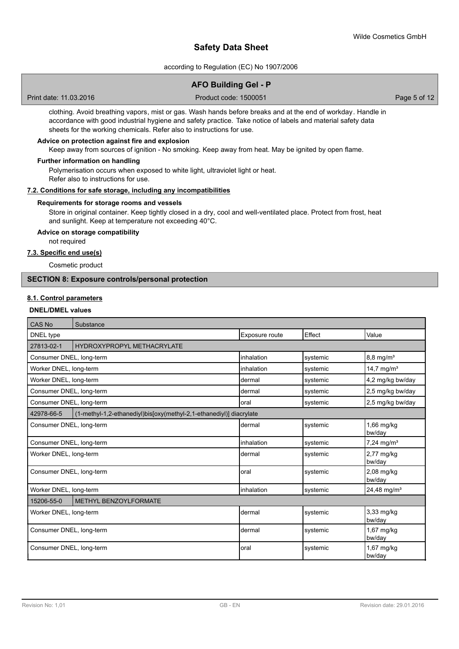according to Regulation (EC) No 1907/2006

| Page 5 of 12 |
|--------------|
|              |
|              |
|              |
|              |
|              |
|              |
|              |

Store in original container. Keep tightly closed in a dry, cool and well-ventilated place. Protect from frost, heat and sunlight. Keep at temperature not exceeding 40°C.

# **Advice on storage compatibility**

not required

# **7.3. Specific end use(s)**

Cosmetic product

# **SECTION 8: Exposure controls/personal protection**

## **8.1. Control parameters**

## **DNEL/DMEL values**

| <b>CAS No</b>            | Substance                                                           |                |          |                           |
|--------------------------|---------------------------------------------------------------------|----------------|----------|---------------------------|
| DNEL type                |                                                                     | Exposure route | Effect   | Value                     |
| 27813-02-1               | HYDROXYPROPYL METHACRYLATE                                          |                |          |                           |
| Consumer DNEL, long-term |                                                                     | inhalation     | systemic | $8,8$ mg/m <sup>3</sup>   |
| Worker DNEL, long-term   |                                                                     | inhalation     | systemic | 14,7 mg/ $m^3$            |
| Worker DNEL, long-term   |                                                                     | dermal         | systemic | 4,2 mg/kg bw/day          |
| Consumer DNEL, long-term |                                                                     | dermal         | systemic | 2,5 mg/kg bw/day          |
| Consumer DNEL, long-term |                                                                     | loral          | systemic | 2,5 mg/kg bw/day          |
| 42978-66-5               | (1-methyl-1,2-ethanediyl)bis[oxy(methyl-2,1-ethanediyl)] diacrylate |                |          |                           |
| Consumer DNEL, long-term |                                                                     | dermal         | systemic | 1,66 mg/kg<br>bw/day      |
| Consumer DNEL, long-term |                                                                     | inhalation     | systemic | $7,24$ mg/m <sup>3</sup>  |
| Worker DNEL, long-term   |                                                                     | dermal         | systemic | 2,77 mg/kg<br>bw/day      |
| Consumer DNEL, long-term |                                                                     | oral           | systemic | $2,08$ mg/kg<br>bw/day    |
| Worker DNEL, long-term   |                                                                     | inhalation     | systemic | $24,48$ mg/m <sup>3</sup> |
| 15206-55-0               | METHYL BENZOYLFORMATE                                               |                |          |                           |
| Worker DNEL, long-term   |                                                                     | dermal         | systemic | 3,33 mg/kg<br>bw/day      |
| Consumer DNEL, long-term |                                                                     | dermal         | systemic | $1,67$ mg/kg<br>bw/day    |
| Consumer DNEL, long-term |                                                                     | loral          | systemic | 1,67 mg/kg<br>bw/day      |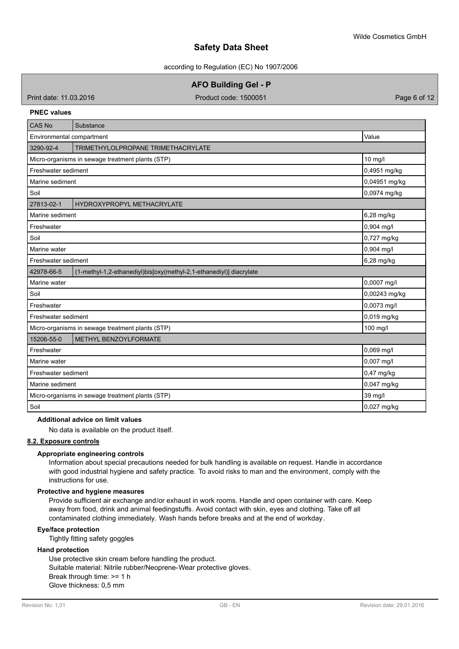according to Regulation (EC) No 1907/2006

**AFO Building Gel - P**

Print date: 11.03.2016 Product code: 1500051 Page 6 of 12

### **PNEC values**

| <b>CAS No</b>       | Substance                                                           |               |  |  |  |
|---------------------|---------------------------------------------------------------------|---------------|--|--|--|
|                     | Environmental compartment<br>Value                                  |               |  |  |  |
| 3290-92-4           | TRIMETHYLOLPROPANE TRIMETHACRYLATE                                  |               |  |  |  |
|                     | Micro-organisms in sewage treatment plants (STP)                    | 10 mg/l       |  |  |  |
| Freshwater sediment |                                                                     | 0,4951 mg/kg  |  |  |  |
| Marine sediment     |                                                                     | 0,04951 mg/kg |  |  |  |
| Soil                |                                                                     | 0,0974 mg/kg  |  |  |  |
| 27813-02-1          | HYDROXYPROPYL METHACRYLATE                                          |               |  |  |  |
| Marine sediment     |                                                                     | 6,28 mg/kg    |  |  |  |
| Freshwater          |                                                                     | 0,904 mg/l    |  |  |  |
| Soil                |                                                                     | 0,727 mg/kg   |  |  |  |
| Marine water        |                                                                     | 0,904 mg/l    |  |  |  |
| Freshwater sediment |                                                                     | 6,28 mg/kg    |  |  |  |
| 42978-66-5          | (1-methyl-1,2-ethanediyl)bis[oxy(methyl-2,1-ethanediyl)] diacrylate |               |  |  |  |
| Marine water        |                                                                     | 0,0007 mg/l   |  |  |  |
| Soil                |                                                                     | 0,00243 mg/kg |  |  |  |
| Freshwater          |                                                                     | 0,0073 mg/l   |  |  |  |
| Freshwater sediment |                                                                     | 0,019 mg/kg   |  |  |  |
|                     | Micro-organisms in sewage treatment plants (STP)                    | 100 mg/l      |  |  |  |
| 15206-55-0          | METHYL BENZOYLFORMATE                                               |               |  |  |  |
| Freshwater          |                                                                     | 0,069 mg/l    |  |  |  |
| Marine water        |                                                                     | 0,007 mg/l    |  |  |  |
| Freshwater sediment |                                                                     | 0,47 mg/kg    |  |  |  |
|                     | 0,047 mg/kg<br>Marine sediment                                      |               |  |  |  |
|                     | Micro-organisms in sewage treatment plants (STP)                    | 39 mg/l       |  |  |  |
| Soil                |                                                                     | 0,027 mg/kg   |  |  |  |

### **Additional advice on limit values**

No data is available on the product itself.

### **8.2. Exposure controls**

## **Appropriate engineering controls**

Information about special precautions needed for bulk handling is available on request. Handle in accordance with good industrial hygiene and safety practice. To avoid risks to man and the environment, comply with the instructions for use.

### **Protective and hygiene measures**

Provide sufficient air exchange and/or exhaust in work rooms. Handle and open container with care. Keep away from food, drink and animal feedingstuffs. Avoid contact with skin, eyes and clothing. Take off all contaminated clothing immediately. Wash hands before breaks and at the end of workday.

#### **Eye/face protection**

Tightly fitting safety goggles

### **Hand protection**

Use protective skin cream before handling the product. Suitable material: Nitrile rubber/Neoprene-Wear protective gloves. Break through time: >= 1 h Glove thickness: 0,5 mm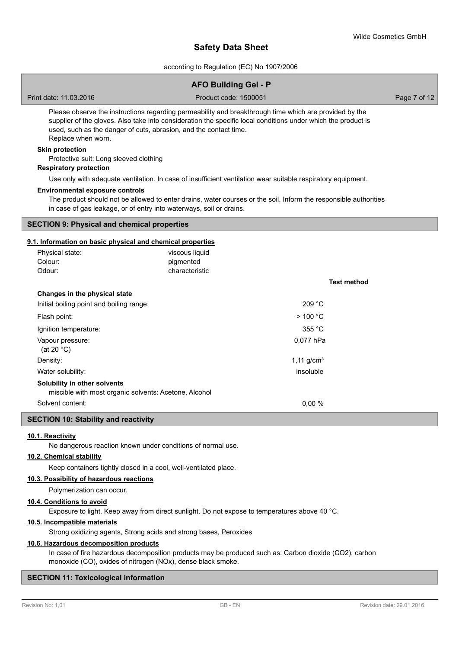according to Regulation (EC) No 1907/2006

|                                                                                                                                                                                                                                                                                                                    | <b>AFO Building Gel - P</b> |                 |                    |
|--------------------------------------------------------------------------------------------------------------------------------------------------------------------------------------------------------------------------------------------------------------------------------------------------------------------|-----------------------------|-----------------|--------------------|
| Print date: 11.03.2016                                                                                                                                                                                                                                                                                             | Product code: 1500051       |                 | Page 7 of 12       |
| Please observe the instructions regarding permeability and breakthrough time which are provided by the<br>supplier of the gloves. Also take into consideration the specific local conditions under which the product is<br>used, such as the danger of cuts, abrasion, and the contact time.<br>Replace when worn. |                             |                 |                    |
| <b>Skin protection</b>                                                                                                                                                                                                                                                                                             |                             |                 |                    |
| Protective suit: Long sleeved clothing                                                                                                                                                                                                                                                                             |                             |                 |                    |
| <b>Respiratory protection</b>                                                                                                                                                                                                                                                                                      |                             |                 |                    |
| Use only with adequate ventilation. In case of insufficient ventilation wear suitable respiratory equipment.<br><b>Environmental exposure controls</b>                                                                                                                                                             |                             |                 |                    |
| The product should not be allowed to enter drains, water courses or the soil. Inform the responsible authorities<br>in case of gas leakage, or of entry into waterways, soil or drains.                                                                                                                            |                             |                 |                    |
| <b>SECTION 9: Physical and chemical properties</b>                                                                                                                                                                                                                                                                 |                             |                 |                    |
| 9.1. Information on basic physical and chemical properties                                                                                                                                                                                                                                                         |                             |                 |                    |
| Physical state:                                                                                                                                                                                                                                                                                                    | viscous liquid              |                 |                    |
| Colour:                                                                                                                                                                                                                                                                                                            | pigmented                   |                 |                    |
| Odour:                                                                                                                                                                                                                                                                                                             | characteristic              |                 |                    |
|                                                                                                                                                                                                                                                                                                                    |                             |                 | <b>Test method</b> |
| Changes in the physical state                                                                                                                                                                                                                                                                                      |                             |                 |                    |
| Initial boiling point and boiling range:                                                                                                                                                                                                                                                                           |                             | 209 °C          |                    |
| Flash point:                                                                                                                                                                                                                                                                                                       |                             | $>$ 100 °C      |                    |
| Ignition temperature:                                                                                                                                                                                                                                                                                              |                             | 355 °C          |                    |
| Vapour pressure:<br>(at 20 $°C$ )                                                                                                                                                                                                                                                                                  |                             | 0,077 hPa       |                    |
| $D = -11.$                                                                                                                                                                                                                                                                                                         |                             | $A = A + 1 = 3$ |                    |

Density: 1,11 g/cm and 1,11 g/cm and 1,11 g/cm and 1,11 g/cm and 1,11 g/cm and 1,11 g/cm and 1,11 g/cm and 1,11 g/cm and 1,11 g/cm and 1,11 g/cm and 1,11 g/cm and 1,11 g/cm and 1,11 g/cm and 1,11 g/cm and 1,11 g/cm and 1,1 Water solubility: insoluble that the solubility: insoluble that the solubility: insoluble that the solubility: **Solubility in other solvents** miscible with most organic solvents: Acetone, Alcohol Solvent content: 0,00 %

#### **SECTION 10: Stability and reactivity**

### **10.1. Reactivity**

No dangerous reaction known under conditions of normal use.

# **10.2. Chemical stability**

Keep containers tightly closed in a cool, well-ventilated place.

## **10.3. Possibility of hazardous reactions**

Polymerization can occur.

#### **10.4. Conditions to avoid**

Exposure to light. Keep away from direct sunlight. Do not expose to temperatures above 40 °C.

# **10.5. Incompatible materials**

Strong oxidizing agents, Strong acids and strong bases, Peroxides

## **10.6. Hazardous decomposition products**

In case of fire hazardous decomposition products may be produced such as: Carbon dioxide (CO2), carbon monoxide (CO), oxides of nitrogen (NOx), dense black smoke.

### **SECTION 11: Toxicological information**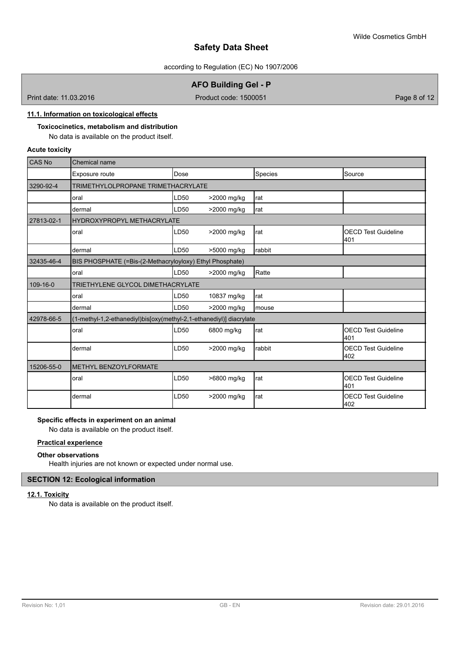according to Regulation (EC) No 1907/2006

# **AFO Building Gel - P**

Print date: 11.03.2016 **Product code: 1500051** Page 8 of 12

# **11.1. Information on toxicological effects**

### **Toxicocinetics, metabolism and distribution** No data is available on the product itself.

## **Acute toxicity**

| <b>CAS No</b> | Chemical name                                                       |      |             |            |                                    |
|---------------|---------------------------------------------------------------------|------|-------------|------------|------------------------------------|
|               | Exposure route                                                      | Dose |             | Species    | Source                             |
| 3290-92-4     | TRIMETHYLOLPROPANE TRIMETHACRYLATE                                  |      |             |            |                                    |
|               | oral                                                                | LD50 | >2000 mg/kg | <b>rat</b> |                                    |
|               | dermal                                                              | LD50 | >2000 mg/kg | Irat       |                                    |
| 27813-02-1    | <b>HYDROXYPROPYL METHACRYLATE</b>                                   |      |             |            |                                    |
|               | oral                                                                | LD50 | >2000 mg/kg | Irat       | <b>OECD Test Guideline</b><br>401  |
|               | dermal                                                              | LD50 | >5000 mg/kg | Irabbit    |                                    |
| 32435-46-4    | BIS PHOSPHATE (=Bis-(2-Methacryloyloxy) Ethyl Phosphate)            |      |             |            |                                    |
|               | oral                                                                | LD50 | >2000 mg/kg | Ratte      |                                    |
| 109-16-0      | TRIETHYLENE GLYCOL DIMETHACRYLATE                                   |      |             |            |                                    |
|               | oral                                                                | LD50 | 10837 mg/kg | Irat       |                                    |
|               | dermal                                                              | LD50 | >2000 mg/kg | Imouse     |                                    |
| 42978-66-5    | (1-methyl-1,2-ethanediyl)bis[oxy(methyl-2,1-ethanediyl)] diacrylate |      |             |            |                                    |
|               | oral                                                                | LD50 | 6800 mg/kg  | <b>rat</b> | <b>OECD Test Guideline</b><br>401  |
|               | dermal                                                              | LD50 | >2000 mg/kg | Irabbit    | <b>IOECD Test Guideline</b><br>402 |
| 15206-55-0    | <b>METHYL BENZOYLFORMATE</b>                                        |      |             |            |                                    |
|               | oral                                                                | LD50 | >6800 mg/kg | Irat       | <b>IOECD Test Guideline</b><br>401 |
|               | dermal                                                              | LD50 | >2000 mg/kg | rat        | <b>OECD Test Guideline</b><br>402  |

## **Specific effects in experiment on an animal**

No data is available on the product itself.

### **Practical experience**

### **Other observations**

Health injuries are not known or expected under normal use.

# **SECTION 12: Ecological information**

### **12.1. Toxicity**

No data is available on the product itself.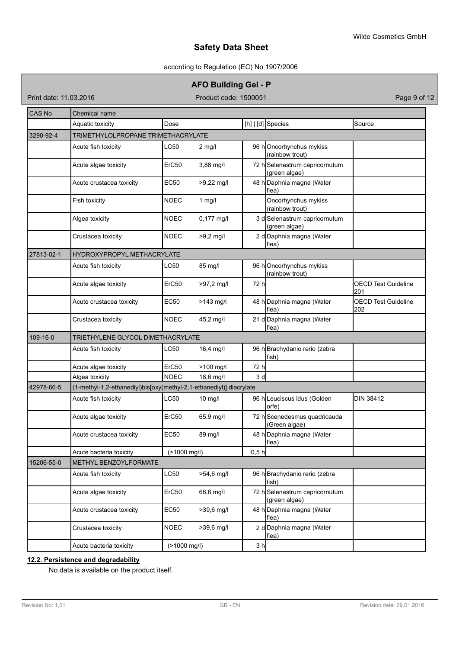# according to Regulation (EC) No 1907/2006

# **AFO Building Gel - P**

Print date: 11.03.2016 **Product code: 1500051** Product code: 1500051

| <b>CAS No</b> | Chemical name                                                       |                 |              |                |                                                 |                                   |
|---------------|---------------------------------------------------------------------|-----------------|--------------|----------------|-------------------------------------------------|-----------------------------------|
|               | Aquatic toxicity                                                    | Dose            |              |                | [h] $ $ [d] Species                             | Source                            |
| 3290-92-4     | TRIMETHYLOLPROPANE TRIMETHACRYLATE                                  |                 |              |                |                                                 |                                   |
|               | Acute fish toxicity                                                 | <b>LC50</b>     | $2$ mg/l     |                | 96 hOncorhynchus mykiss<br>(rainbow trout)      |                                   |
|               | Acute algae toxicity                                                | ErC50           | 3,88 mg/l    |                | 72 hSelenastrum capricornutum<br>(green algae)  |                                   |
|               | Acute crustacea toxicity                                            | <b>EC50</b>     | $>9,22$ mg/l |                | 48 h Daphnia magna (Water<br>flea)              |                                   |
|               | Fish toxicity                                                       | <b>NOEC</b>     | $1$ mg/l     |                | Oncorhynchus mykiss<br>(rainbow trout)          |                                   |
|               | Algea toxicity                                                      | <b>NOEC</b>     | $0,177$ mg/l |                | 3 d Selenastrum capricornutum<br>(green algae)  |                                   |
|               | Crustacea toxicity                                                  | NOEC            | $>9,2$ mg/l  |                | 2 d Daphnia magna (Water<br>flea)               |                                   |
| 27813-02-1    | HYDROXYPROPYL METHACRYLATE                                          |                 |              |                |                                                 |                                   |
|               | Acute fish toxicity                                                 | LC50            | 85 mg/l      |                | 96 hOncorhynchus mykiss<br>(rainbow trout)      |                                   |
|               | Acute algae toxicity                                                | ErC50           | >97,2 mg/l   | 72 h           |                                                 | <b>OECD Test Guideline</b><br>201 |
|               | Acute crustacea toxicity                                            | EC50            | $>143$ mg/l  |                | 48 h Daphnia magna (Water<br>lflea)             | <b>OECD Test Guideline</b><br>202 |
|               | Crustacea toxicity                                                  | <b>NOEC</b>     | 45,2 mg/l    |                | 21 d Daphnia magna (Water<br>lflea)             |                                   |
| 109-16-0      | TRIETHYLENE GLYCOL DIMETHACRYLATE                                   |                 |              |                |                                                 |                                   |
|               | Acute fish toxicity                                                 | <b>LC50</b>     | 16,4 mg/l    |                | 96 h Brachydanio rerio (zebra<br>fish)          |                                   |
|               | Acute algae toxicity                                                | ErC50           | >100 mg/l    | 72 h           |                                                 |                                   |
|               | Algea toxicity                                                      | <b>NOEC</b>     | 18,6 mg/l    | 3d             |                                                 |                                   |
| 42978-66-5    | (1-methyl-1,2-ethanediyl)bis[oxy(methyl-2,1-ethanediyl)] diacrylate |                 |              |                |                                                 |                                   |
|               | Acute fish toxicity                                                 | LC50            | $10$ mg/l    |                | 96 h Leuciscus idus (Golden<br>orfe)            | <b>DIN 38412</b>                  |
|               | Acute algae toxicity                                                | ErC50           | 65,9 mg/l    |                | 72 h Scenedesmus quadricauda<br>(Green algae)   |                                   |
|               | Acute crustacea toxicity                                            | <b>EC50</b>     | 89 mg/l      |                | 48 h Daphnia magna (Water<br>flea)              |                                   |
|               | Acute bacteria toxicity                                             | $($ >1000 mg/l) |              | 0,5 h          |                                                 |                                   |
| 15206-55-0    | METHYL BENZOYLFORMATE                                               |                 |              |                |                                                 |                                   |
|               | Acute fish toxicity                                                 | LC50            | >54,6 mg/l   |                | 96 h Brachydanio rerio (zebra<br>fish)          |                                   |
|               | Acute algae toxicity                                                | ErC50           | 68,6 mg/l    |                | 72 h Selenastrum capricornutum<br>(green algae) |                                   |
|               | Acute crustacea toxicity                                            | EC50            | >39,6 mg/l   |                | 48 h Daphnia magna (Water<br>flea)              |                                   |
|               | Crustacea toxicity                                                  | <b>NOEC</b>     | >39,6 mg/l   |                | 2 d Daphnia magna (Water<br>flea)               |                                   |
|               | Acute bacteria toxicity                                             | (>1000 mg/l)    |              | 3 <sub>h</sub> |                                                 |                                   |

# **12.2. Persistence and degradability**

No data is available on the product itself.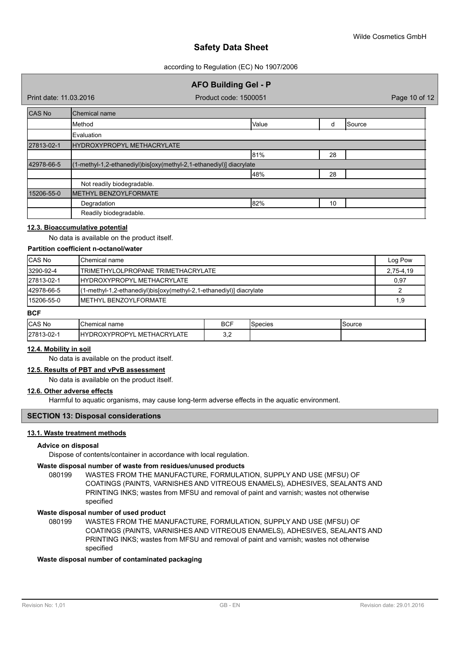according to Regulation (EC) No 1907/2006

# **AFO Building Gel - P**

Print date: 11.03.2016 **Product code: 1500051** Product code: 1500051

| CAS No     | Chemical name                                                       |       |    |        |  |
|------------|---------------------------------------------------------------------|-------|----|--------|--|
|            | Method                                                              | Value | d  | Source |  |
|            | Evaluation                                                          |       |    |        |  |
| 27813-02-1 | HYDROXYPROPYL METHACRYLATE                                          |       |    |        |  |
|            |                                                                     | 81%   | 28 |        |  |
| 42978-66-5 | (1-methyl-1,2-ethanediyl)bis[oxy(methyl-2,1-ethanediyl)] diacrylate |       |    |        |  |
|            |                                                                     | 48%   | 28 |        |  |
|            | Not readily biodegradable.                                          |       |    |        |  |
| 15206-55-0 | METHYL BENZOYLFORMATE                                               |       |    |        |  |
|            | Degradation                                                         | 82%   | 10 |        |  |
|            | Readily biodegradable.                                              |       |    |        |  |

### **12.3. Bioaccumulative potential**

No data is available on the product itself.

## **Partition coefficient n-octanol/water**

| <b>CAS No</b> | IChemical name                                                      | Log Pow   |
|---------------|---------------------------------------------------------------------|-----------|
| 3290-92-4     | TRIMETHYLOLPROPANE TRIMETHACRYLATE                                  | 2,75-4,19 |
| 27813-02-1    | <b>IHYDROXYPROPYL METHACRYLATE</b>                                  | 0,97      |
| 42978-66-5    | (1-methyl-1,2-ethanediyl)bis[oxy(methyl-2,1-ethanediyl)] diacrylate |           |
| 15206-55-0    | IMETHYL BENZOYLFORMATE                                              | 1,9       |

# **BCF**

| CAS No     | IChemical name                                          | <b>DOF</b><br>D∪r | species | Source |
|------------|---------------------------------------------------------|-------------------|---------|--------|
| 27813-02-1 | THACRYLATE<br><b>AYPROPY'</b><br>. MET<br>IH∨<br>DROXYF | <u></u>           |         |        |

# **12.4. Mobility in soil**

No data is available on the product itself.

# **12.5. Results of PBT and vPvB assessment**

No data is available on the product itself.

#### **12.6. Other adverse effects**

Harmful to aquatic organisms, may cause long-term adverse effects in the aquatic environment.

#### **SECTION 13: Disposal considerations**

#### **13.1. Waste treatment methods**

#### **Advice on disposal**

Dispose of contents/container in accordance with local regulation.

### **Waste disposal number of waste from residues/unused products**

080199 WASTES FROM THE MANUFACTURE, FORMULATION, SUPPLY AND USE (MFSU) OF COATINGS (PAINTS, VARNISHES AND VITREOUS ENAMELS), ADHESIVES, SEALANTS AND PRINTING INKS; wastes from MFSU and removal of paint and varnish; wastes not otherwise specified

#### **Waste disposal number of used product**

WASTES FROM THE MANUFACTURE, FORMULATION, SUPPLY AND USE (MFSU) OF COATINGS (PAINTS, VARNISHES AND VITREOUS ENAMELS), ADHESIVES, SEALANTS AND PRINTING INKS; wastes from MFSU and removal of paint and varnish; wastes not otherwise specified 080199

#### **Waste disposal number of contaminated packaging**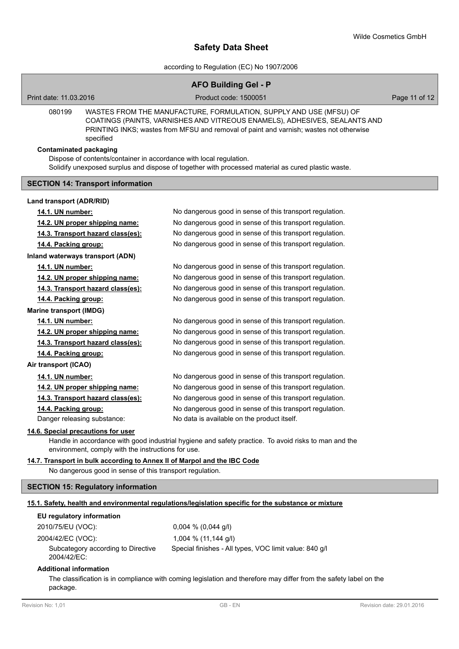according to Regulation (EC) No 1907/2006

|                                                                                          | <b>AFO Building Gel - P</b>                                                                                                                                                                                                                |                           |
|------------------------------------------------------------------------------------------|--------------------------------------------------------------------------------------------------------------------------------------------------------------------------------------------------------------------------------------------|---------------------------|
| Print date: 11.03.2016                                                                   | Product code: 1500051                                                                                                                                                                                                                      | Page 11 of 12             |
| 080199<br>specified                                                                      | WASTES FROM THE MANUFACTURE, FORMULATION, SUPPLY AND USE (MFSU) OF<br>COATINGS (PAINTS, VARNISHES AND VITREOUS ENAMELS), ADHESIVES, SEALANTS AND<br>PRINTING INKS; wastes from MFSU and removal of paint and varnish; wastes not otherwise |                           |
| <b>Contaminated packaging</b>                                                            |                                                                                                                                                                                                                                            |                           |
| Dispose of contents/container in accordance with local regulation.                       |                                                                                                                                                                                                                                            |                           |
|                                                                                          | Solidify unexposed surplus and dispose of together with processed material as cured plastic waste.                                                                                                                                         |                           |
| <b>SECTION 14: Transport information</b>                                                 |                                                                                                                                                                                                                                            |                           |
| Land transport (ADR/RID)                                                                 |                                                                                                                                                                                                                                            |                           |
| 14.1. UN number:                                                                         | No dangerous good in sense of this transport regulation.                                                                                                                                                                                   |                           |
| 14.2. UN proper shipping name:                                                           | No dangerous good in sense of this transport regulation.                                                                                                                                                                                   |                           |
| 14.3. Transport hazard class(es):                                                        | No dangerous good in sense of this transport regulation.                                                                                                                                                                                   |                           |
| 14.4. Packing group:                                                                     | No dangerous good in sense of this transport regulation.                                                                                                                                                                                   |                           |
| Inland waterways transport (ADN)                                                         |                                                                                                                                                                                                                                            |                           |
| 14.1. UN number:                                                                         | No dangerous good in sense of this transport regulation.                                                                                                                                                                                   |                           |
| 14.2. UN proper shipping name:                                                           | No dangerous good in sense of this transport regulation.                                                                                                                                                                                   |                           |
| 14.3. Transport hazard class(es):                                                        | No dangerous good in sense of this transport regulation.                                                                                                                                                                                   |                           |
| 14.4. Packing group:                                                                     | No dangerous good in sense of this transport regulation.                                                                                                                                                                                   |                           |
| <b>Marine transport (IMDG)</b>                                                           |                                                                                                                                                                                                                                            |                           |
| 14.1. UN number:                                                                         | No dangerous good in sense of this transport regulation.                                                                                                                                                                                   |                           |
| 14.2. UN proper shipping name:                                                           | No dangerous good in sense of this transport regulation.                                                                                                                                                                                   |                           |
| 14.3. Transport hazard class(es):                                                        | No dangerous good in sense of this transport regulation.                                                                                                                                                                                   |                           |
| 14.4. Packing group:                                                                     | No dangerous good in sense of this transport regulation.                                                                                                                                                                                   |                           |
| Air transport (ICAO)                                                                     |                                                                                                                                                                                                                                            |                           |
| 14.1. UN number:                                                                         | No dangerous good in sense of this transport regulation.                                                                                                                                                                                   |                           |
| 14.2. UN proper shipping name:                                                           | No dangerous good in sense of this transport regulation.                                                                                                                                                                                   |                           |
| 14.3. Transport hazard class(es):                                                        | No dangerous good in sense of this transport regulation.                                                                                                                                                                                   |                           |
| 14.4. Packing group:                                                                     | No dangerous good in sense of this transport regulation.                                                                                                                                                                                   |                           |
| Danger releasing substance:                                                              | No data is available on the product itself.                                                                                                                                                                                                |                           |
| 14.6. Special precautions for user<br>environment, comply with the instructions for use. | Handle in accordance with good industrial hygiene and safety practice. To avoid risks to man and the                                                                                                                                       |                           |
| 14.7. Transport in bulk according to Annex II of Marpol and the IBC Code                 |                                                                                                                                                                                                                                            |                           |
| No dangerous good in sense of this transport regulation.                                 |                                                                                                                                                                                                                                            |                           |
| <b>SECTION 15: Regulatory information</b>                                                |                                                                                                                                                                                                                                            |                           |
|                                                                                          | 15.1. Safety, health and environmental regulations/legislation specific for the substance or mixture                                                                                                                                       |                           |
| EU regulatory information                                                                |                                                                                                                                                                                                                                            |                           |
| 2010/75/EU (VOC):                                                                        | $0,004 \% (0,044 g/l)$                                                                                                                                                                                                                     |                           |
| 2004/42/EC (VOC):                                                                        | 1,004 % (11,144 g/l)                                                                                                                                                                                                                       |                           |
| Subcategory according to Directive<br>2004/42/EC:                                        | Special finishes - All types, VOC limit value: 840 g/l                                                                                                                                                                                     |                           |
| <b>Additional information</b><br>package.                                                | The classification is in compliance with coming legislation and therefore may differ from the safety label on the                                                                                                                          |                           |
| Revision No: 1,01                                                                        | GB-EN                                                                                                                                                                                                                                      | Revision date: 29.01.2016 |